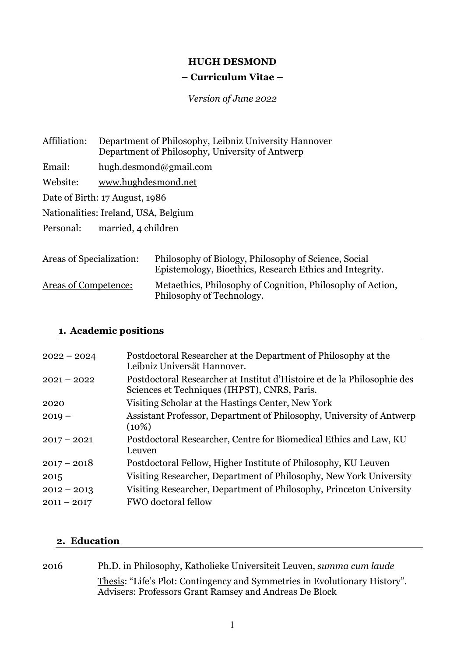### **HUGH DESMOND**

### **– Curriculum Vitae –**

*Version of June 2022*

Affiliation: Department of Philosophy, Leibniz University Hannover Department of Philosophy, University of Antwerp Email: hugh.desmond@gmail.com Website: www.hughdesmond.net Date of Birth: 17 August, 1986 Nationalities: Ireland, USA, Belgium

Personal: married, 4 children

| <b>Areas of Specialization:</b> | Philosophy of Biology, Philosophy of Science, Social<br>Epistemology, Bioethics, Research Ethics and Integrity. |
|---------------------------------|-----------------------------------------------------------------------------------------------------------------|
| <b>Areas of Competence:</b>     | Metaethics, Philosophy of Cognition, Philosophy of Action,<br>Philosophy of Technology.                         |

# **1. Academic positions**

| $2022 - 2024$ | Postdoctoral Researcher at the Department of Philosophy at the<br>Leibniz Universät Hannover.                           |
|---------------|-------------------------------------------------------------------------------------------------------------------------|
| $2021 - 2022$ | Postdoctoral Researcher at Institut d'Histoire et de la Philosophie des<br>Sciences et Techniques (IHPST), CNRS, Paris. |
| 2020          | Visiting Scholar at the Hastings Center, New York                                                                       |
| $2019 -$      | Assistant Professor, Department of Philosophy, University of Antwerp<br>$(10\%)$                                        |
| $2017 - 2021$ | Postdoctoral Researcher, Centre for Biomedical Ethics and Law, KU<br>Leuven                                             |
| $2017 - 2018$ | Postdoctoral Fellow, Higher Institute of Philosophy, KU Leuven                                                          |
| 2015          | Visiting Researcher, Department of Philosophy, New York University                                                      |
| $2012 - 2013$ | Visiting Researcher, Department of Philosophy, Princeton University                                                     |
| $2011 - 2017$ | <b>FWO</b> doctoral fellow                                                                                              |

### **2. Education**

| 2016 | Ph.D. in Philosophy, Katholieke Universiteit Leuven, summa cum laude                                                                 |
|------|--------------------------------------------------------------------------------------------------------------------------------------|
|      | Thesis: "Life's Plot: Contingency and Symmetries in Evolutionary History".<br>Advisers: Professors Grant Ramsey and Andreas De Block |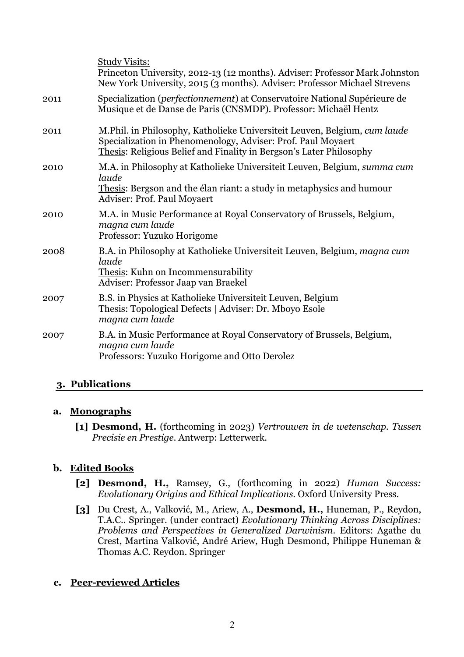|      | <b>Study Visits:</b><br>Princeton University, 2012-13 (12 months). Adviser: Professor Mark Johnston<br>New York University, 2015 (3 months). Adviser: Professor Michael Strevens                                 |
|------|------------------------------------------------------------------------------------------------------------------------------------------------------------------------------------------------------------------|
| 2011 | Specialization (perfectionnement) at Conservatoire National Supérieure de<br>Musique et de Danse de Paris (CNSMDP). Professor: Michaël Hentz                                                                     |
| 2011 | M.Phil. in Philosophy, Katholieke Universiteit Leuven, Belgium, cum laude<br>Specialization in Phenomenology, Adviser: Prof. Paul Moyaert<br>Thesis: Religious Belief and Finality in Bergson's Later Philosophy |
| 2010 | M.A. in Philosophy at Katholieke Universiteit Leuven, Belgium, summa cum<br>laude<br>Thesis: Bergson and the élan riant: a study in metaphysics and humour<br>Adviser: Prof. Paul Moyaert                        |
| 2010 | M.A. in Music Performance at Royal Conservatory of Brussels, Belgium,<br>magna cum laude<br>Professor: Yuzuko Horigome                                                                                           |
| 2008 | B.A. in Philosophy at Katholieke Universiteit Leuven, Belgium, magna cum<br>laude<br>Thesis: Kuhn on Incommensurability<br>Adviser: Professor Jaap van Braekel                                                   |
| 2007 | B.S. in Physics at Katholieke Universiteit Leuven, Belgium<br>Thesis: Topological Defects   Adviser: Dr. Mboyo Esole<br>magna cum laude                                                                          |
| 2007 | B.A. in Music Performance at Royal Conservatory of Brussels, Belgium,<br>magna cum laude<br>Professors: Yuzuko Horigome and Otto Derolez                                                                         |

# **3. Publications**

## **a. Monographs**

**[1] Desmond, H.** (forthcoming in 2023) *Vertrouwen in de wetenschap. Tussen Precisie en Prestige.* Antwerp: Letterwerk.

# **b. Edited Books**

- **[2] Desmond, H.,** Ramsey, G., (forthcoming in 2022) *Human Success: Evolutionary Origins and Ethical Implications.* Oxford University Press.
- **[3]** Du Crest, A., Valković, M., Ariew, A., **Desmond, H.,** Huneman, P., Reydon, T.A.C.. Springer. (under contract) *Evolutionary Thinking Across Disciplines: Problems and Perspectives in Generalized Darwinism*. Editors: Agathe du Crest, Martina Valković, André Ariew, Hugh Desmond, Philippe Huneman & Thomas A.C. Reydon. Springer

# **c. Peer-reviewed Articles**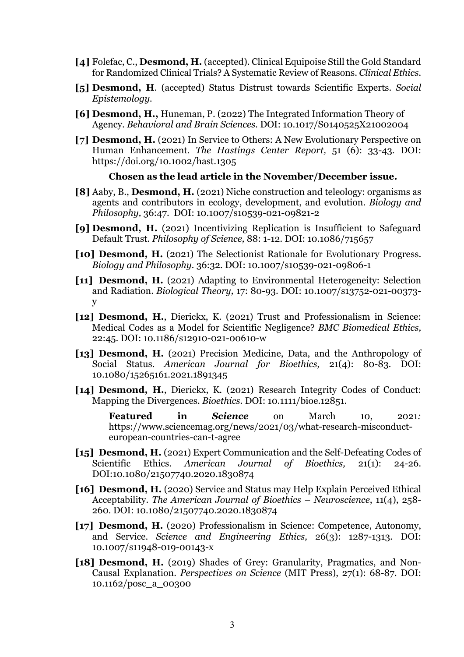- **[4]** Folefac, C., **Desmond, H.** (accepted). Clinical Equipoise Still the Gold Standard for Randomized Clinical Trials? A Systematic Review of Reasons. *Clinical Ethics.*
- **[5] Desmond, H**. (accepted) Status Distrust towards Scientific Experts. *Social Epistemology.*
- **[6] Desmond, H.,** Huneman, P. (2022) The Integrated Information Theory of Agency. *Behavioral and Brain Sciences.* DOI: 10.1017/S0140525X21002004
- **[7] Desmond, H.** (2021) In Service to Others: A New Evolutionary Perspective on Human Enhancement. *The Hastings Center Report,* 51 (6): 33-43*.* DOI: https://doi.org/10.1002/hast.1305

#### **Chosen as the lead article in the November/December issue.**

- **[8]** Aaby, B., **Desmond, H.** (2021) Niche construction and teleology: organisms as agents and contributors in ecology, development, and evolution. *Biology and Philosophy,* 36:47. DOI: 10.1007/s10539-021-09821-2
- **[9] Desmond, H.** (2021) Incentivizing Replication is Insufficient to Safeguard Default Trust. *Philosophy of Science,* 88: 1-12*.* DOI: 10.1086/715657
- **[10] Desmond, H.** (2021) The Selectionist Rationale for Evolutionary Progress. *Biology and Philosophy.* 36:32*.* DOI: 10.1007/s10539-021-09806-1
- **[11] Desmond, H.** (2021) Adapting to Environmental Heterogeneity: Selection and Radiation. *Biological Theory,* 17: 80-93. DOI: 10.1007/s13752-021-00373 y
- **[12] Desmond, H.**, Dierickx, K. (2021) Trust and Professionalism in Science: Medical Codes as a Model for Scientific Negligence? *BMC Biomedical Ethics,* 22:45. DOI: 10.1186/s12910-021-00610-w
- **[13] Desmond, H.** (2021) Precision Medicine, Data, and the Anthropology of Social Status. *American Journal for Bioethics,* 21(4): 80-83*.* DOI: 10.1080/15265161.2021.1891345
- **[14] Desmond, H.**, Dierickx, K. (2021) Research Integrity Codes of Conduct: Mapping the Divergences. *Bioethics.* DOI: 10.1111/bioe.12851.
	- **Featured in** *Science* on March 10, 2021*:* https://www.sciencemag.org/news/2021/03/what-research-misconducteuropean-countries-can-t-agree
- **[15] Desmond, H.** (2021) Expert Communication and the Self-Defeating Codes of Scientific Ethics. *American Journal of Bioethics,* 21(1): 24-26*.* DOI:10.1080/21507740.2020.1830874
- **[16] Desmond, H.** (2020) Service and Status may Help Explain Perceived Ethical Acceptability. *The American Journal of Bioethics – Neuroscience*, 11(4), 258- 260. DOI: 10.1080/21507740.2020.1830874
- **[17] Desmond, H.** (2020) Professionalism in Science: Competence, Autonomy, and Service. *Science and Engineering Ethics,* 26(3): 1287-1313*.* DOI: 10.1007/s11948-019-00143-x
- **[18] Desmond, H.** (2019) Shades of Grey: Granularity, Pragmatics, and Non-Causal Explanation. *Perspectives on Science* (MIT Press), 27(1): 68-87*.* DOI: 10.1162/posc\_a\_00300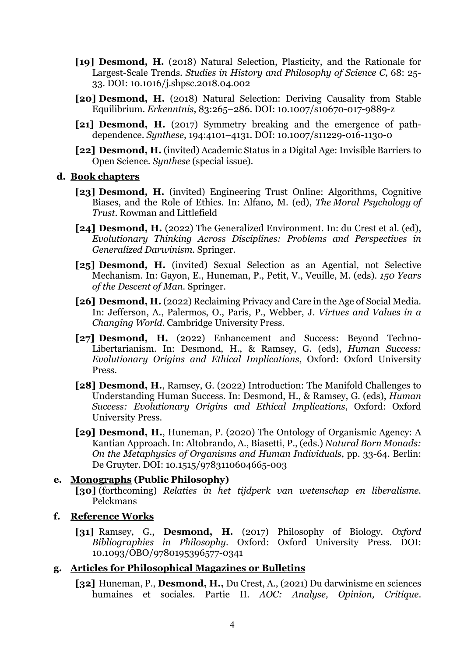- **[19] Desmond, H.** (2018) Natural Selection, Plasticity, and the Rationale for Largest-Scale Trends. *Studies in History and Philosophy of Science C*, 68: 25- 33. DOI: 10.1016/j.shpsc.2018.04.002
- **[20] Desmond, H.** (2018) Natural Selection: Deriving Causality from Stable Equilibrium. *Erkenntnis*, 83:265–286. DOI: 10.1007/s10670-017-9889-z
- **[21] Desmond, H.** (2017) Symmetry breaking and the emergence of pathdependence. *Synthese*, 194:4101–4131. DOI: 10.1007/s11229-016-1130-0
- **[22] Desmond, H.** (invited) Academic Status in a Digital Age: Invisible Barriers to Open Science. *Synthese* (special issue).

#### **d. Book chapters**

- **[23] Desmond, H.** (invited) Engineering Trust Online: Algorithms, Cognitive Biases, and the Role of Ethics. In: Alfano, M. (ed), *The Moral Psychology of Trust.* Rowman and Littlefield
- **[24] Desmond, H.** (2022) The Generalized Environment. In: du Crest et al. (ed), *Evolutionary Thinking Across Disciplines: Problems and Perspectives in Generalized Darwinism.* Springer.
- **[25] Desmond, H.** (invited) Sexual Selection as an Agential, not Selective Mechanism. In: Gayon, E., Huneman, P., Petit, V., Veuille, M. (eds). *150 Years of the Descent of Man.* Springer.
- **[26] Desmond, H.** (2022) Reclaiming Privacy and Care in the Age of Social Media. In: Jefferson, A., Palermos, O., Paris, P., Webber, J. *Virtues and Values in a Changing World.* Cambridge University Press.
- **[27] Desmond, H.** (2022) Enhancement and Success: Beyond Techno-Libertarianism. In: Desmond, H., & Ramsey, G. (eds), *Human Success: Evolutionary Origins and Ethical Implications*, Oxford: Oxford University Press.
- **[28] Desmond, H.**, Ramsey, G. (2022) Introduction: The Manifold Challenges to Understanding Human Success. In: Desmond, H., & Ramsey, G. (eds), *Human Success: Evolutionary Origins and Ethical Implications*, Oxford: Oxford University Press.
- **[29] Desmond, H.**, Huneman, P. (2020) The Ontology of Organismic Agency: A Kantian Approach. In: Altobrando, A., Biasetti, P., (eds.) *Natural Born Monads: On the Metaphysics of Organisms and Human Individuals*, pp. 33-64. Berlin: De Gruyter. DOI: 10.1515/9783110604665-003

#### **e. Monographs (Public Philosophy) [30]** (forthcoming) *Relaties in het tijdperk van wetenschap en liberalisme.* Pelckmans

#### **f. Reference Works**

**[31]** Ramsey, G., **Desmond, H.** (2017) Philosophy of Biology. *Oxford Bibliographies in Philosophy*. Oxford: Oxford University Press. DOI: 10.1093/OBO/9780195396577-0341

### **g. Articles for Philosophical Magazines or Bulletins**

**[32]** Huneman, P., **Desmond, H.,** Du Crest, A., (2021) Du darwinisme en sciences humaines et sociales. Partie II. *AOC: Analyse, Opinion, Critique*.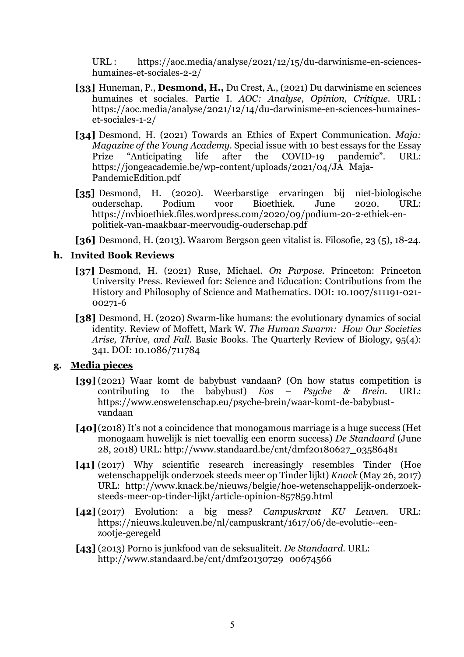URL : https://aoc.media/analyse/2021/12/15/du-darwinisme-en-scienceshumaines-et-sociales-2-2/

- **[33]** Huneman, P., **Desmond, H.,** Du Crest, A., (2021) Du darwinisme en sciences humaines et sociales. Partie I. *AOC: Analyse, Opinion, Critique*. URL : https://aoc.media/analyse/2021/12/14/du-darwinisme-en-sciences-humaineset-sociales-1-2/
- **[34]** Desmond, H. (2021) Towards an Ethics of Expert Communication. *Maja: Magazine of the Young Academy.* Special issue with 10 best essays for the Essay Prize "Anticipating life after the COVID-19 pandemic". URL: https://jongeacademie.be/wp-content/uploads/2021/04/JA\_Maja-PandemicEdition.pdf
- **[35]** Desmond, H. (2020). Weerbarstige ervaringen bij niet-biologische ouderschap. Podium voor Bioethiek. June 2020. URL: https://nvbioethiek.files.wordpress.com/2020/09/podium-20-2-ethiek-enpolitiek-van-maakbaar-meervoudig-ouderschap.pdf

**[36]** Desmond, H. (2013). Waarom Bergson geen vitalist is. Filosofie, 23 (5), 18-24.

## **h. Invited Book Reviews**

- **[37]** Desmond, H. (2021) Ruse, Michael. *On Purpose.* Princeton: Princeton University Press. Reviewed for: Science and Education: Contributions from the History and Philosophy of Science and Mathematics. DOI: 10.1007/s11191-021- 00271-6
- **[38]** Desmond, H. (2020) Swarm-like humans: the evolutionary dynamics of social identity. Review of Moffett, Mark W. *The Human Swarm: How Our Societies Arise, Thrive, and Fall*. Basic Books. The Quarterly Review of Biology, 95(4): 341. DOI: 10.1086/711784

## **g. Media pieces**

- **[39]** (2021) Waar komt de babybust vandaan? (On how status competition is contributing to the babybust)  $Eos$  Psuche & Brein. URL: contributing to the babybust) *Eos – Psyche & Brein.* URL: https://www.eoswetenschap.eu/psyche-brein/waar-komt-de-babybustvandaan
- **[40]** (2018) It's not a coincidence that monogamous marriage is a huge success (Het monogaam huwelijk is niet toevallig een enorm success) *De Standaard* (June 28, 2018) URL: http://www.standaard.be/cnt/dmf20180627\_03586481
- [41] (2017) Why scientific research increasingly resembles Tinder (Hoe wetenschappelijk onderzoek steeds meer op Tinder lijkt) *Knack* (May 26, 2017) URL: http://www.knack.be/nieuws/belgie/hoe-wetenschappelijk-onderzoeksteeds-meer-op-tinder-lijkt/article-opinion-857859.html
- **[42]** (2017) Evolution: a big mess? *Campuskrant KU Leuven.* URL: https://nieuws.kuleuven.be/nl/campuskrant/1617/06/de-evolutie--eenzootje-geregeld
- **[43]** (2013) Porno is junkfood van de seksualiteit. *De Standaard.* URL: http://www.standaard.be/cnt/dmf20130729\_00674566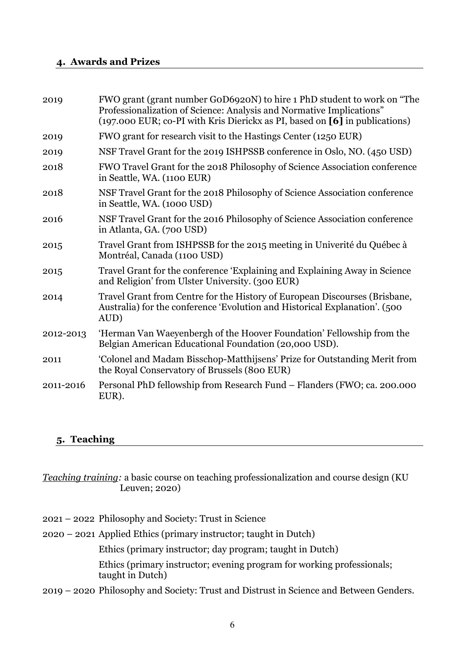### **4. Awards and Prizes**

| 2019      | FWO grant (grant number GoD6920N) to hire 1 PhD student to work on "The<br>Professionalization of Science: Analysis and Normative Implications"<br>(197.000 EUR; co-PI with Kris Dierickx as PI, based on [6] in publications) |
|-----------|--------------------------------------------------------------------------------------------------------------------------------------------------------------------------------------------------------------------------------|
| 2019      | FWO grant for research visit to the Hastings Center (1250 EUR)                                                                                                                                                                 |
| 2019      | NSF Travel Grant for the 2019 ISHPSSB conference in Oslo, NO. (450 USD)                                                                                                                                                        |
| 2018      | FWO Travel Grant for the 2018 Philosophy of Science Association conference<br>in Seattle, WA. (1100 EUR)                                                                                                                       |
| 2018      | NSF Travel Grant for the 2018 Philosophy of Science Association conference<br>in Seattle, WA. (1000 USD)                                                                                                                       |
| 2016      | NSF Travel Grant for the 2016 Philosophy of Science Association conference<br>in Atlanta, GA. (700 USD)                                                                                                                        |
| 2015      | Travel Grant from ISHPSSB for the 2015 meeting in Univerité du Québec à<br>Montréal, Canada (1100 USD)                                                                                                                         |
| 2015      | Travel Grant for the conference 'Explaining and Explaining Away in Science<br>and Religion' from Ulster University. (300 EUR)                                                                                                  |
| 2014      | Travel Grant from Centre for the History of European Discourses (Brisbane,<br>Australia) for the conference 'Evolution and Historical Explanation'. (500<br>AUD)                                                               |
| 2012-2013 | 'Herman Van Waeyenbergh of the Hoover Foundation' Fellowship from the<br>Belgian American Educational Foundation (20,000 USD).                                                                                                 |
| 2011      | 'Colonel and Madam Bisschop-Matthijsens' Prize for Outstanding Merit from<br>the Royal Conservatory of Brussels (800 EUR)                                                                                                      |
| 2011-2016 | Personal PhD fellowship from Research Fund – Flanders (FWO; ca. 200.000<br>EUR).                                                                                                                                               |
|           |                                                                                                                                                                                                                                |

## **5. Teaching**

*Teaching training:* a basic course on teaching professionalization and course design (KU Leuven; 2020)

2021 – 2022 Philosophy and Society: Trust in Science

2020 – 2021 Applied Ethics (primary instructor; taught in Dutch)

Ethics (primary instructor; day program; taught in Dutch)

Ethics (primary instructor; evening program for working professionals; taught in Dutch)

2019 – 2020 Philosophy and Society: Trust and Distrust in Science and Between Genders.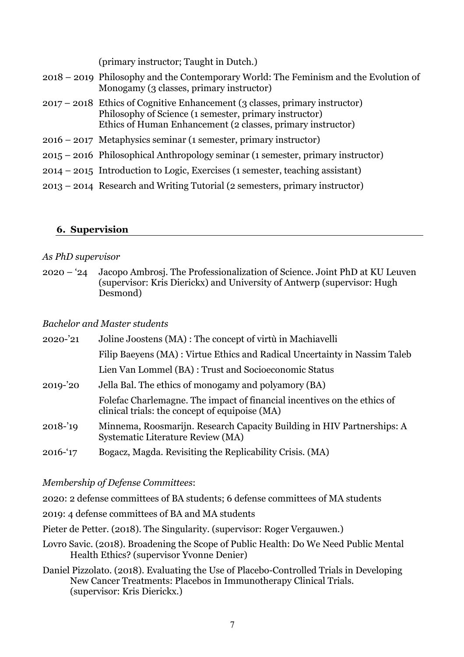(primary instructor; Taught in Dutch.)

- 2018 2019 Philosophy and the Contemporary World: The Feminism and the Evolution of Monogamy (3 classes, primary instructor) 2017 – 2018 Ethics of Cognitive Enhancement (3 classes, primary instructor) Philosophy of Science (1 semester, primary instructor) Ethics of Human Enhancement (2 classes, primary instructor)
- 2016 2017 Metaphysics seminar (1 semester, primary instructor)
- 2015 2016 Philosophical Anthropology seminar (1 semester, primary instructor)
- 2014 2015 Introduction to Logic, Exercises (1 semester, teaching assistant)
- 2013 2014 Research and Writing Tutorial (2 semesters, primary instructor)

## **6. Supervision**

### *As PhD supervisor*

2020 – '24 Jacopo Ambrosj. The Professionalization of Science. Joint PhD at KU Leuven (supervisor: Kris Dierickx) and University of Antwerp (supervisor: Hugh Desmond)

## *Bachelor and Master students*

| 2020-'21    | Joline Joostens (MA) : The concept of virtù in Machiavelli                                                                 |
|-------------|----------------------------------------------------------------------------------------------------------------------------|
|             | Filip Baeyens (MA) : Virtue Ethics and Radical Uncertainty in Nassim Taleb                                                 |
|             | Lien Van Lommel (BA) : Trust and Socioeconomic Status                                                                      |
| $2019 - 20$ | Jella Bal. The ethics of monogamy and polyamory (BA)                                                                       |
|             | Folefac Charlemagne. The impact of financial incentives on the ethics of<br>clinical trials: the concept of equipoise (MA) |
| $2018 - 19$ | Minnema, Roosmarijn. Research Capacity Building in HIV Partnerships: A<br>Systematic Literature Review (MA)                |
| $2016 - 17$ | Bogacz, Magda. Revisiting the Replicability Crisis. (MA)                                                                   |

## *Membership of Defense Committees*:

2020: 2 defense committees of BA students; 6 defense committees of MA students

- 2019: 4 defense committees of BA and MA students
- Pieter de Petter. (2018). The Singularity. (supervisor: Roger Vergauwen.)
- Lovro Savic. (2018). Broadening the Scope of Public Health: Do We Need Public Mental Health Ethics? (supervisor Yvonne Denier)
- Daniel Pizzolato. (2018). Evaluating the Use of Placebo-Controlled Trials in Developing New Cancer Treatments: Placebos in Immunotherapy Clinical Trials. (supervisor: Kris Dierickx.)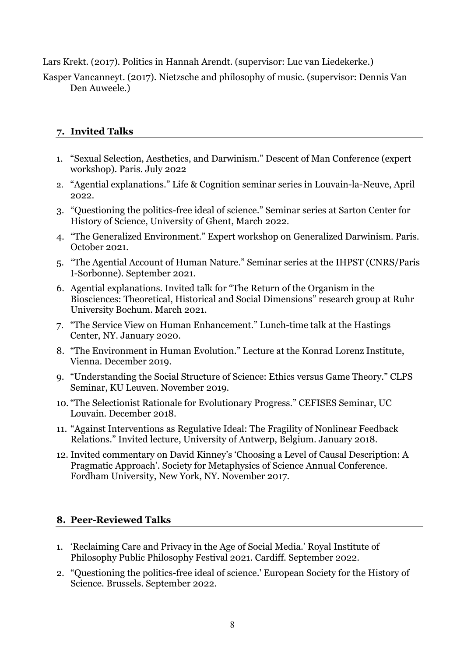Lars Krekt. (2017). Politics in Hannah Arendt. (supervisor: Luc van Liedekerke.)

Kasper Vancanneyt. (2017). Nietzsche and philosophy of music. (supervisor: Dennis Van Den Auweele.)

# **7. Invited Talks**

- 1. "Sexual Selection, Aesthetics, and Darwinism." Descent of Man Conference (expert workshop). Paris. July 2022
- 2. "Agential explanations." Life & Cognition seminar series in Louvain-la-Neuve, April 2022
- 3. "Questioning the politics-free ideal of science." Seminar series at Sarton Center for History of Science, University of Ghent, March 2022.
- 4. "The Generalized Environment." Expert workshop on Generalized Darwinism. Paris. October 2021.
- 5. "The Agential Account of Human Nature." Seminar series at the IHPST (CNRS/Paris I-Sorbonne). September 2021.
- 6. Agential explanations. Invited talk for "The Return of the Organism in the Biosciences: Theoretical, Historical and Social Dimensions" research group at Ruhr University Bochum. March 2021.
- 7. "The Service View on Human Enhancement." Lunch-time talk at the Hastings Center, NY. January 2020.
- 8. "The Environment in Human Evolution." Lecture at the Konrad Lorenz Institute, Vienna. December 2019.
- 9. "Understanding the Social Structure of Science: Ethics versus Game Theory." CLPS Seminar, KU Leuven. November 2019.
- 10. "The Selectionist Rationale for Evolutionary Progress." CEFISES Seminar, UC Louvain. December 2018.
- 11. "Against Interventions as Regulative Ideal: The Fragility of Nonlinear Feedback Relations." Invited lecture, University of Antwerp, Belgium. January 2018.
- 12. Invited commentary on David Kinney's 'Choosing a Level of Causal Description: A Pragmatic Approach'. Society for Metaphysics of Science Annual Conference. Fordham University, New York, NY. November 2017.

# **8. Peer-Reviewed Talks**

- 1. 'Reclaiming Care and Privacy in the Age of Social Media.' Royal Institute of Philosophy Public Philosophy Festival 2021. Cardiff. September 2022.
- 2. "Questioning the politics-free ideal of science.' European Society for the History of Science. Brussels. September 2022.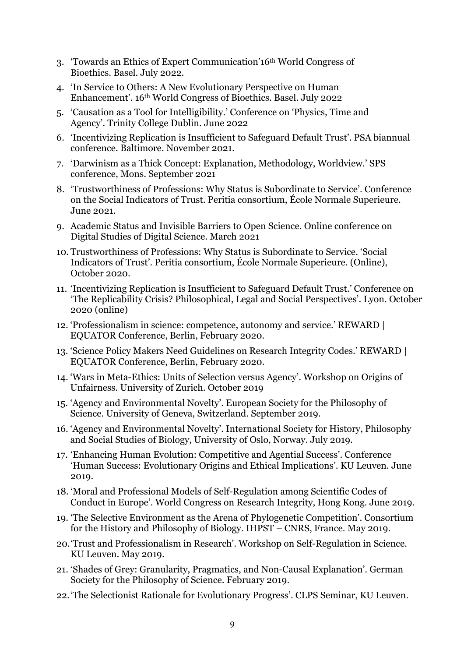- 3. 'Towards an Ethics of Expert Communication'16th World Congress of Bioethics. Basel. July 2022.
- 4. 'In Service to Others: A New Evolutionary Perspective on Human Enhancement'. 16th World Congress of Bioethics. Basel. July 2022
- 5. 'Causation as a Tool for Intelligibility.' Conference on 'Physics, Time and Agency'. Trinity College Dublin. June 2022
- 6. 'Incentivizing Replication is Insufficient to Safeguard Default Trust'. PSA biannual conference. Baltimore. November 2021.
- 7. 'Darwinism as a Thick Concept: Explanation, Methodology, Worldview.' SPS conference, Mons. September 2021
- 8. 'Trustworthiness of Professions: Why Status is Subordinate to Service'. Conference on the Social Indicators of Trust. Peritia consortium, École Normale Superieure. June 2021.
- 9. Academic Status and Invisible Barriers to Open Science. Online conference on Digital Studies of Digital Science. March 2021
- 10. Trustworthiness of Professions: Why Status is Subordinate to Service. 'Social Indicators of Trust'. Peritia consortium, École Normale Superieure. (Online), October 2020.
- 11. 'Incentivizing Replication is Insufficient to Safeguard Default Trust.' Conference on 'The Replicability Crisis? Philosophical, Legal and Social Perspectives'. Lyon. October 2020 (online)
- 12. 'Professionalism in science: competence, autonomy and service.' REWARD | EQUATOR Conference, Berlin, February 2020.
- 13. 'Science Policy Makers Need Guidelines on Research Integrity Codes.' REWARD | EQUATOR Conference, Berlin, February 2020.
- 14. 'Wars in Meta-Ethics: Units of Selection versus Agency'. Workshop on Origins of Unfairness. University of Zurich. October 2019
- 15. 'Agency and Environmental Novelty'. European Society for the Philosophy of Science. University of Geneva, Switzerland. September 2019.
- 16. 'Agency and Environmental Novelty'. International Society for History, Philosophy and Social Studies of Biology, University of Oslo, Norway. July 2019.
- 17. 'Enhancing Human Evolution: Competitive and Agential Success'. Conference 'Human Success: Evolutionary Origins and Ethical Implications'. KU Leuven. June 2019.
- 18. 'Moral and Professional Models of Self-Regulation among Scientific Codes of Conduct in Europe'. World Congress on Research Integrity, Hong Kong. June 2019.
- 19. 'The Selective Environment as the Arena of Phylogenetic Competition'. Consortium for the History and Philosophy of Biology. IHPST – CNRS, France. May 2019.
- 20.'Trust and Professionalism in Research'. Workshop on Self-Regulation in Science. KU Leuven. May 2019.
- 21. 'Shades of Grey: Granularity, Pragmatics, and Non-Causal Explanation'. German Society for the Philosophy of Science. February 2019.
- 22.'The Selectionist Rationale for Evolutionary Progress'. CLPS Seminar, KU Leuven.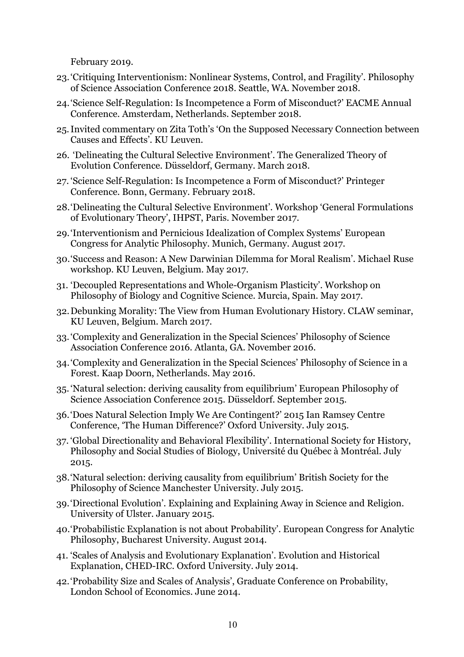February 2019.

- 23.'Critiquing Interventionism: Nonlinear Systems, Control, and Fragility'. Philosophy of Science Association Conference 2018. Seattle, WA. November 2018.
- 24.'Science Self-Regulation: Is Incompetence a Form of Misconduct?' EACME Annual Conference. Amsterdam, Netherlands. September 2018.
- 25.Invited commentary on Zita Toth's 'On the Supposed Necessary Connection between Causes and Effects'. KU Leuven.
- 26. 'Delineating the Cultural Selective Environment'. The Generalized Theory of Evolution Conference. Düsseldorf, Germany. March 2018.
- 27. 'Science Self-Regulation: Is Incompetence a Form of Misconduct?' Printeger Conference. Bonn, Germany. February 2018.
- 28.'Delineating the Cultural Selective Environment'. Workshop 'General Formulations of Evolutionary Theory', IHPST, Paris. November 2017.
- 29.'Interventionism and Pernicious Idealization of Complex Systems' European Congress for Analytic Philosophy. Munich, Germany. August 2017.
- 30.'Success and Reason: A New Darwinian Dilemma for Moral Realism'. Michael Ruse workshop. KU Leuven, Belgium. May 2017.
- 31. 'Decoupled Representations and Whole-Organism Plasticity'. Workshop on Philosophy of Biology and Cognitive Science. Murcia, Spain. May 2017.
- 32.Debunking Morality: The View from Human Evolutionary History. CLAW seminar, KU Leuven, Belgium. March 2017.
- 33.'Complexity and Generalization in the Special Sciences' Philosophy of Science Association Conference 2016. Atlanta, GA. November 2016.
- 34.'Complexity and Generalization in the Special Sciences' Philosophy of Science in a Forest. Kaap Doorn, Netherlands. May 2016.
- 35. 'Natural selection: deriving causality from equilibrium' European Philosophy of Science Association Conference 2015. Düsseldorf. September 2015.
- 36.'Does Natural Selection Imply We Are Contingent?' 2015 Ian Ramsey Centre Conference, 'The Human Difference?' Oxford University. July 2015.
- 37. 'Global Directionality and Behavioral Flexibility'. International Society for History, Philosophy and Social Studies of Biology, Université du Québec à Montréal. July 2015.
- 38.'Natural selection: deriving causality from equilibrium' British Society for the Philosophy of Science Manchester University. July 2015.
- 39.'Directional Evolution'. Explaining and Explaining Away in Science and Religion. University of Ulster. January 2015.
- 40.'Probabilistic Explanation is not about Probability'. European Congress for Analytic Philosophy, Bucharest University. August 2014.
- 41. 'Scales of Analysis and Evolutionary Explanation'. Evolution and Historical Explanation, CHED-IRC. Oxford University. July 2014.
- 42.'Probability Size and Scales of Analysis', Graduate Conference on Probability, London School of Economics. June 2014.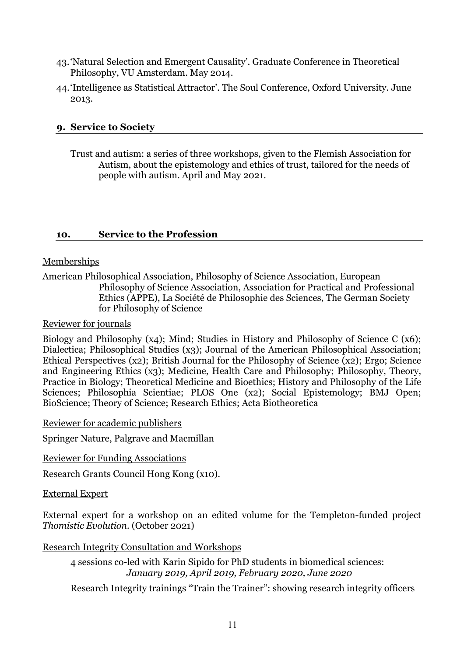- 43.'Natural Selection and Emergent Causality'. Graduate Conference in Theoretical Philosophy, VU Amsterdam. May 2014.
- 44.'Intelligence as Statistical Attractor'. The Soul Conference, Oxford University. June 2013.

### **9. Service to Society**

Trust and autism: a series of three workshops, given to the Flemish Association for Autism, about the epistemology and ethics of trust, tailored for the needs of people with autism. April and May 2021.

### **10. Service to the Profession**

### Memberships

American Philosophical Association, Philosophy of Science Association, European Philosophy of Science Association, Association for Practical and Professional Ethics (APPE), La Société de Philosophie des Sciences, The German Society for Philosophy of Science

#### Reviewer for journals

Biology and Philosophy (x4); Mind; Studies in History and Philosophy of Science C (x6); Dialectica; Philosophical Studies (x3); Journal of the American Philosophical Association; Ethical Perspectives (x2); British Journal for the Philosophy of Science (x2); Ergo; Science and Engineering Ethics (x3); Medicine, Health Care and Philosophy; Philosophy, Theory, Practice in Biology; Theoretical Medicine and Bioethics; History and Philosophy of the Life Sciences; Philosophia Scientiae; PLOS One (x2); Social Epistemology; BMJ Open; BioScience; Theory of Science; Research Ethics; Acta Biotheoretica

Reviewer for academic publishers

Springer Nature, Palgrave and Macmillan

Reviewer for Funding Associations

Research Grants Council Hong Kong (x10).

#### External Expert

External expert for a workshop on an edited volume for the Templeton-funded project *Thomistic Evolution.* (October 2021)

### Research Integrity Consultation and Workshops

4 sessions co-led with Karin Sipido for PhD students in biomedical sciences: *January 2019, April 2019, February 2020, June 2020*

Research Integrity trainings "Train the Trainer": showing research integrity officers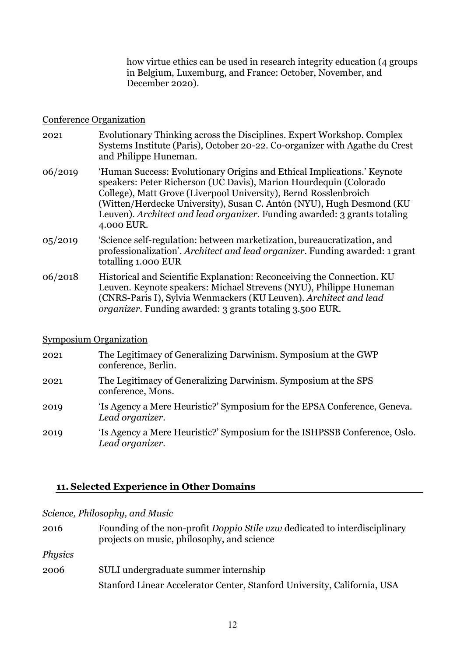how virtue ethics can be used in research integrity education (4 groups in Belgium, Luxemburg, and France: October, November, and December 2020).

#### Conference Organization

- 2021 Evolutionary Thinking across the Disciplines. Expert Workshop. Complex Systems Institute (Paris), October 20-22. Co-organizer with Agathe du Crest and Philippe Huneman.
- 06/2019 'Human Success: Evolutionary Origins and Ethical Implications.' Keynote speakers: Peter Richerson (UC Davis), Marion Hourdequin (Colorado College), Matt Grove (Liverpool University), Bernd Rosslenbroich (Witten/Herdecke University), Susan C. Antón (NYU), Hugh Desmond (KU Leuven). *Architect and lead organizer.* Funding awarded: 3 grants totaling 4.000 EUR.
- 05/2019 'Science self-regulation: between marketization, bureaucratization, and professionalization'. *Architect and lead organizer.* Funding awarded: 1 grant totalling 1.000 EUR
- 06/2018 Historical and Scientific Explanation: Reconceiving the Connection. KU Leuven. Keynote speakers: Michael Strevens (NYU), Philippe Huneman (CNRS-Paris I), Sylvia Wenmackers (KU Leuven). *Architect and lead organizer.* Funding awarded: 3 grants totaling 3.500 EUR.

### Symposium Organization

- 2021 The Legitimacy of Generalizing Darwinism. Symposium at the GWP conference, Berlin.
- 2021 The Legitimacy of Generalizing Darwinism. Symposium at the SPS conference, Mons.
- 2019 'Is Agency a Mere Heuristic?' Symposium for the EPSA Conference, Geneva. *Lead organizer.*
- 2019 'Is Agency a Mere Heuristic?' Symposium for the ISHPSSB Conference, Oslo. *Lead organizer.*

### **11. Selected Experience in Other Domains**

#### *Science, Philosophy, and Music*

| 2016           | Founding of the non-profit Doppio Stile vzw dedicated to interdisciplinary<br>projects on music, philosophy, and science |
|----------------|--------------------------------------------------------------------------------------------------------------------------|
| <i>Physics</i> |                                                                                                                          |
| 2006           | SULI undergraduate summer internship                                                                                     |
|                | Stanford Linear Accelerator Center, Stanford University, California, USA                                                 |